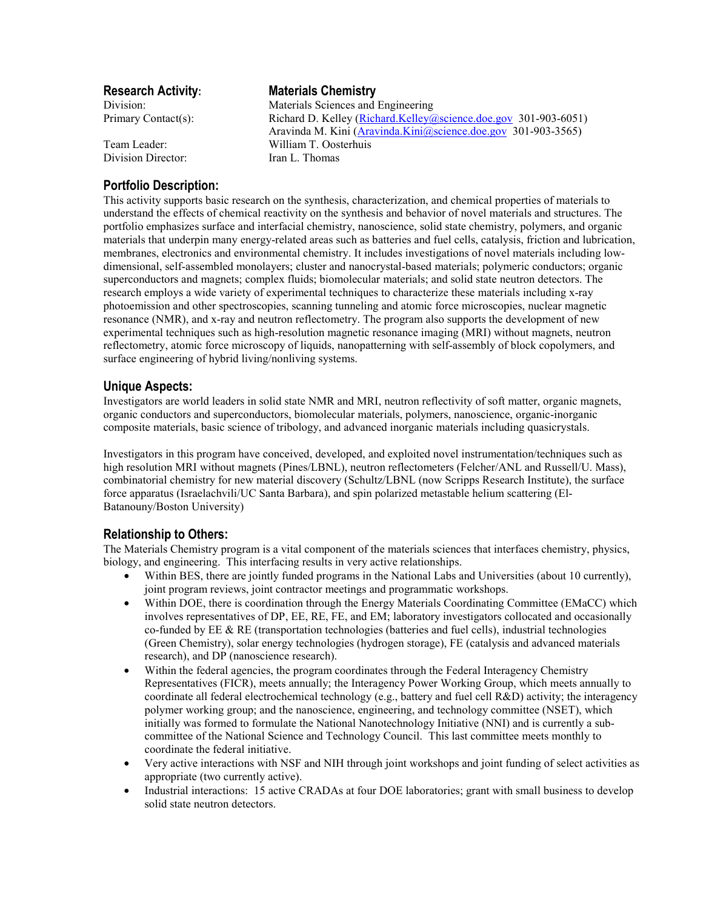Division Director: Iran L. Thomas

# **Research Activity: Materials Chemistry**

Division: Materials Sciences and Engineering Primary Contact(s): Richard D. Kelley (Richard.Kelley (a) science.doe.gov 301-903-6051) Aravinda M. Kini (Aravinda.Kini@science.doe.gov 301-903-3565) Team Leader: William T. Oosterhuis

## **Portfolio Description:**

This activity supports basic research on the synthesis, characterization, and chemical properties of materials to understand the effects of chemical reactivity on the synthesis and behavior of novel materials and structures. The portfolio emphasizes surface and interfacial chemistry, nanoscience, solid state chemistry, polymers, and organic materials that underpin many energy-related areas such as batteries and fuel cells, catalysis, friction and lubrication, membranes, electronics and environmental chemistry. It includes investigations of novel materials including lowdimensional, self-assembled monolayers; cluster and nanocrystal-based materials; polymeric conductors; organic superconductors and magnets; complex fluids; biomolecular materials; and solid state neutron detectors. The research employs a wide variety of experimental techniques to characterize these materials including x-ray photoemission and other spectroscopies, scanning tunneling and atomic force microscopies, nuclear magnetic resonance (NMR), and x-ray and neutron reflectometry. The program also supports the development of new experimental techniques such as high-resolution magnetic resonance imaging (MRI) without magnets, neutron reflectometry, atomic force microscopy of liquids, nanopatterning with self-assembly of block copolymers, and surface engineering of hybrid living/nonliving systems.

### **Unique Aspects:**

Investigators are world leaders in solid state NMR and MRI, neutron reflectivity of soft matter, organic magnets, organic conductors and superconductors, biomolecular materials, polymers, nanoscience, organic-inorganic composite materials, basic science of tribology, and advanced inorganic materials including quasicrystals.

Investigators in this program have conceived, developed, and exploited novel instrumentation/techniques such as high resolution MRI without magnets (Pines/LBNL), neutron reflectometers (Felcher/ANL and Russell/U. Mass), combinatorial chemistry for new material discovery (Schultz/LBNL (now Scripps Research Institute), the surface force apparatus (Israelachvili/UC Santa Barbara), and spin polarized metastable helium scattering (El-Batanouny/Boston University)

## **Relationship to Others:**

The Materials Chemistry program is a vital component of the materials sciences that interfaces chemistry, physics, biology, and engineering. This interfacing results in very active relationships.

- Within BES, there are jointly funded programs in the National Labs and Universities (about 10 currently), joint program reviews, joint contractor meetings and programmatic workshops.
- Within DOE, there is coordination through the Energy Materials Coordinating Committee (EMaCC) which involves representatives of DP, EE, RE, FE, and EM; laboratory investigators collocated and occasionally co-funded by EE & RE (transportation technologies (batteries and fuel cells), industrial technologies (Green Chemistry), solar energy technologies (hydrogen storage), FE (catalysis and advanced materials research), and DP (nanoscience research).
- Within the federal agencies, the program coordinates through the Federal Interagency Chemistry Representatives (FICR), meets annually; the Interagency Power Working Group, which meets annually to coordinate all federal electrochemical technology (e.g., battery and fuel cell  $R&D$ ) activity; the interagency polymer working group; and the nanoscience, engineering, and technology committee (NSET), which initially was formed to formulate the National Nanotechnology Initiative (NNI) and is currently a subcommittee of the National Science and Technology Council. This last committee meets monthly to coordinate the federal initiative.
- Very active interactions with NSF and NIH through joint workshops and joint funding of select activities as appropriate (two currently active).
- Industrial interactions: 15 active CRADAs at four DOE laboratories; grant with small business to develop solid state neutron detectors.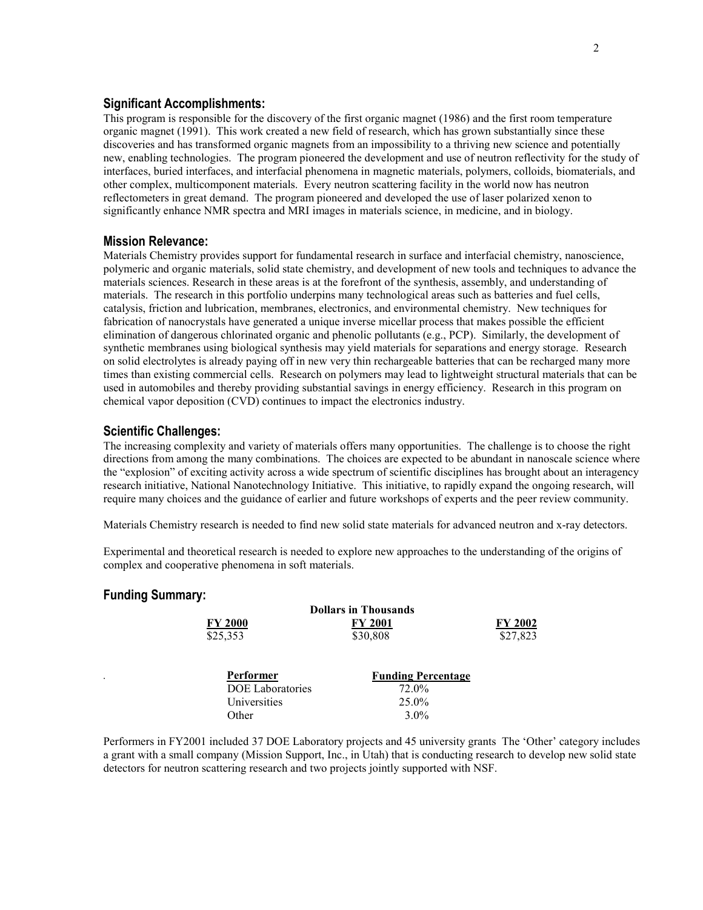#### **Significant Accomplishments:**

This program is responsible for the discovery of the first organic magnet (1986) and the first room temperature organic magnet (1991). This work created a new field of research, which has grown substantially since these discoveries and has transformed organic magnets from an impossibility to a thriving new science and potentially new, enabling technologies. The program pioneered the development and use of neutron reflectivity for the study of interfaces, buried interfaces, and interfacial phenomena in magnetic materials, polymers, colloids, biomaterials, and other complex, multicomponent materials. Every neutron scattering facility in the world now has neutron reflectometers in great demand. The program pioneered and developed the use of laser polarized xenon to significantly enhance NMR spectra and MRI images in materials science, in medicine, and in biology.

#### **Mission Relevance:**

Materials Chemistry provides support for fundamental research in surface and interfacial chemistry, nanoscience, polymeric and organic materials, solid state chemistry, and development of new tools and techniques to advance the materials sciences. Research in these areas is at the forefront of the synthesis, assembly, and understanding of materials. The research in this portfolio underpins many technological areas such as batteries and fuel cells, catalysis, friction and lubrication, membranes, electronics, and environmental chemistry. New techniques for fabrication of nanocrystals have generated a unique inverse micellar process that makes possible the efficient elimination of dangerous chlorinated organic and phenolic pollutants (e.g., PCP). Similarly, the development of synthetic membranes using biological synthesis may yield materials for separations and energy storage. Research on solid electrolytes is already paying off in new very thin rechargeable batteries that can be recharged many more times than existing commercial cells. Research on polymers may lead to lightweight structural materials that can be used in automobiles and thereby providing substantial savings in energy efficiency. Research in this program on chemical vapor deposition (CVD) continues to impact the electronics industry.

#### **Scientific Challenges:**

The increasing complexity and variety of materials offers many opportunities. The challenge is to choose the right directions from among the many combinations. The choices are expected to be abundant in nanoscale science where the "explosion" of exciting activity across a wide spectrum of scientific disciplines has brought about an interagency research initiative, National Nanotechnology Initiative. This initiative, to rapidly expand the ongoing research, will require many choices and the guidance of earlier and future workshops of experts and the peer review community.

Materials Chemistry research is needed to find new solid state materials for advanced neutron and x-ray detectors.

Experimental and theoretical research is needed to explore new approaches to the understanding of the origins of complex and cooperative phenomena in soft materials.

#### **Funding Summary:**

| <b>Dollars in Thousands</b> |                           |          |
|-----------------------------|---------------------------|----------|
| <b>FY 2000</b>              | <b>FY 2001</b>            | FY 2002  |
| \$25,353                    | \$30,808                  | \$27,823 |
| Performer                   | <b>Funding Percentage</b> |          |
| <b>DOE</b> Laboratories     | 72.0%                     |          |
| Universities                | 25.0%                     |          |
| Other                       | $3.0\%$                   |          |

Performers in FY2001 included 37 DOE Laboratory projects and 45 university grants The 'Other' category includes a grant with a small company (Mission Support, Inc., in Utah) that is conducting research to develop new solid state detectors for neutron scattering research and two projects jointly supported with NSF.